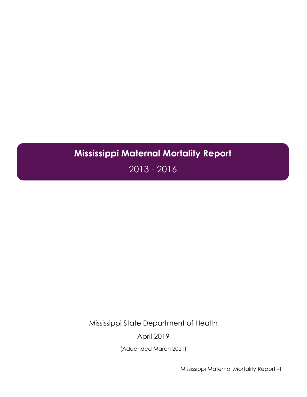# **Mississippi Maternal Mortality Report**

2013 - 2016

Mississippi State Department of Health

April 2019

(Addended March 2021)

Mississippi Maternal Mortality Report -1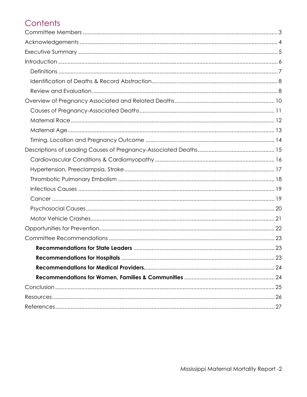# Contents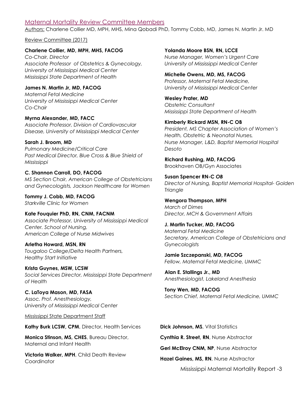#### <span id="page-2-0"></span>Maternal Mortality Review Committee Members

Authors: Charlene Collier MD, MPH, MHS, Mina Qobadi PhD, Tommy Cobb, MD, James N. Martin Jr. MD

Review Committee (2017)

#### **Charlene Collier, MD, MPH, MHS, FACOG**

*Co-Chair, Director Associate Professor of Obstetrics & Gynecology, University of Mississippi Medical Center Mississippi State Department of Health*

**James N. Martin Jr, MD, FACOG** *Maternal Fetal Medicine University of Mississippi Medical Center Co-Chair*

**Myrna Alexander, MD, FACC** *Associate Professor, Division of Cardiovascular Disease, University of Mississippi Medical Center*

**Sarah J. Broom, MD**

*Pulmonary Medicine/Critical Care Past Medical Director, Blue Cross & Blue Shield of Mississippi*

#### **C. Shannon Carroll, DO, FACOG**

*MS Section Chair, American College of Obstetricians and Gynecologists, Jackson Healthcare for Women*

**Tommy J. Cobb, MD, FACOG** *Starkville Clinic for Women*

**Kate Fouquier PhD, RN, CNM, FACNM** *Associate Professor, University of Mississippi Medical Center. School of Nursing, American College of Nurse Midwives*

**Arletha Howard, MSN, RN** *Tougaloo College/Delta Health Partners, Healthy Start Initiative*

**Krista Guynes, MSW, LCSW** *Social Services Director, Mississippi State Department of Health*

**C. LaToya Mason, MD, FASA** *Assoc. Prof. Anesthesiology, University of Mississippi Medical Center*

Mississippi State Department Staff

**Kathy Burk LCSW, CPM**, Director, Health Services

**Monica Stinson, MS, CHES**, Bureau Director, Maternal and Infant Health

**Victoria Walker, MPH**, Child Death Review **Coordinator** 

**Yolanda Moore BSN, RN, LCCE** *Nurse Manager, Women's Urgent Care University of Mississippi Medical Center*

**Michelle Owens, MD, MS, FACOG** *Professor, Maternal Fetal Medicine, University of Mississippi Medical Center*

**Wesley Prater, MD**  *Obstetric Consultant Mississippi State Department of Health*

**Kimberly Rickard MSN, RN-C OB** *President, MS Chapter Association of Women's Health, Obstetric & Neonatal Nurses, Nurse Manager, L&D, Baptist Memorial Hospital Desoto*

**Richard Rushing, MD, FACOG** Brookhaven OB/Gyn Associates

**Susan Spencer RN-C** *OB Director of Nursing, Baptist Memorial Hospital- Golden Triangle*

**Wengora Thompson, MPH** *March of Dimes Director, MCH & Government Affairs*

**J. Martin Tucker, MD, FACOG** *Maternal Fetal Medicine Secretary, American College of Obstetricians and Gynecologists*

**Jamie Szczepanski, MD, FACOG** *Fellow, Maternal Fetal Medicine, UMMC*

**Alan E. Stallings Jr., MD** *Anesthesiologist, Lakeland Anesthesia*

**Tony Wen, MD, FACOG** *Section Chief, Maternal Fetal Medicine, UMMC*

**Dick Johnson, MS**, Vital Statistics

**Cynthia R. Street, RN**, Nurse Abstractor

**Geri McElroy CNM, NP**, Nurse Abstractor

**Hazel Gaines, MS, RN**, Nurse Abstractor

Mississippi Maternal Mortality Report -3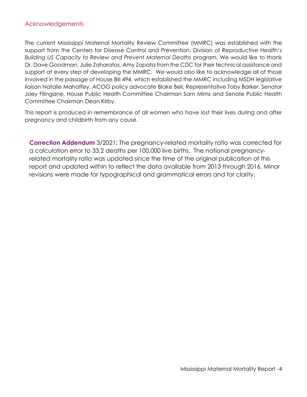#### <span id="page-3-0"></span>Acknowledgements

The current Mississippi Maternal Mortality Review Committee (MMRC) was established with the support from the Centers for Disease Control and Prevention, Division of Reproductive Health's *Building US Capacity to Review and Prevent Maternal Deaths* program. We would like to thank Dr. Dave Goodman, Julie Zaharatos, Amy Zapata from the CDC for their technical assistance and support at every step of developing the MMRC. We would also like to acknowledge all of those involved in the passage of House Bill 494, which established the MMRC including MSDH legislative liaison Natalie Mahaffey, ACOG policy advocate Blake Bell, Representative Toby Barker, Senator Joey Filingane, House Public Health Committee Chairman Sam Mims and Senate Public Health Committee Chairman Dean Kirby.

This report is produced in remembrance of all women who have lost their lives during and after pregnancy and childbirth from any cause.

**Correction Addendum** 3/2021: The pregnancy-related mortality ratio was corrected for a calculation error to 33.2 deaths per 100,000 live births. The national pregnancyrelated mortality ratio was updated since the time of the original publication of this report and updated within to reflect the data available from 2013 through 2016. Minor revisions were made for typographical and grammatical errors and for clarity.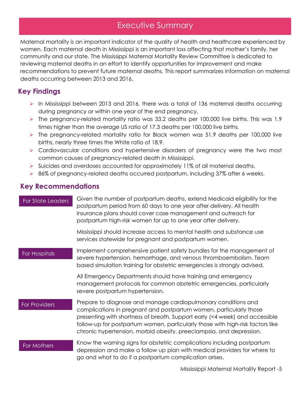### Executive Summary

Maternal mortality is an important indicator of the quality of health and healthcare experienced by E S women. Each maternal death in Mississippi is an important loss affecting that mother's family, her community and our state. The Mississippi Maternal Mortality Review Committee is dedicated to reviewing maternal deaths in an effort to identify opportunities for improvement and make recommendations to prevent future maternal deaths. This report summarizes information on maternal deaths occurring between 2013 and 2016.

### **Key Findings**

- ➢ In Mississippi between 2013 and 2016, there was a total of 136 maternal deaths occurring during pregnancy or within one year of the end pregnancy.
- $\triangleright$  The pregnancy-related mortality ratio was 33.2 deaths per 100,000 live births. This was 1.9 times higher than the average US ratio of 17.3 deaths per 100,000 live births.
- ➢ The pregnancy-related mortality ratio for Black women was 51.9 deaths per 100,000 live births, nearly three times the White ratio of 18.9.
- ➢ Cardiovascular conditions and hypertensive disorders of pregnancy were the two most common causes of pregnancy-related death in Mississippi.
- $\triangleright$  Suicides and overdoses accounted for approximately 11% of all maternal deaths.
- ➢ 86% of pregnancy-related deaths occurred postpartum, including 37% after 6 weeks.

### **Key Recommendations**

| <b>For State Leaders</b> | Given the number of postpartum deaths, extend Medicaid eligibility for the<br>postpartum period from 60 days to one year after delivery. All health<br>insurance plans should cover case management and outreach for<br>postpartum high-risk women for up to one year after delivery.                                                                                       |
|--------------------------|-----------------------------------------------------------------------------------------------------------------------------------------------------------------------------------------------------------------------------------------------------------------------------------------------------------------------------------------------------------------------------|
|                          | Mississippi should increase access to mental health and substance use<br>services statewide for pregnant and postpartum women.                                                                                                                                                                                                                                              |
| For Hospitals            | Implement comprehensive patient safety bundles for the management of<br>severe hypertension, hemorrhage, and venous thromboembolism. Team<br>based simulation training for obstetric emergencies is strongly advised.                                                                                                                                                       |
|                          | All Emergency Departments should have training and emergency<br>management protocols for common obstetric emergencies, particularly<br>severe postpartum hypertension.                                                                                                                                                                                                      |
| <b>For Providers</b>     | Prepare to diagnose and manage cardiopulmonary conditions and<br>complications in pregnant and postpartum women, particularly those<br>presenting with shortness of breath. Support early (<4 week) and accessible<br>follow-up for postpartum women, particularly those with high-risk factors like<br>chronic hypertension, morbid obesity, preeclampsia, and depression. |
| For Mothers              | Know the warning signs for obstetric complications including postpartum<br>depression and make a follow up plan with medical providers for where to<br>go and what to do if a postpartum complication arises.                                                                                                                                                               |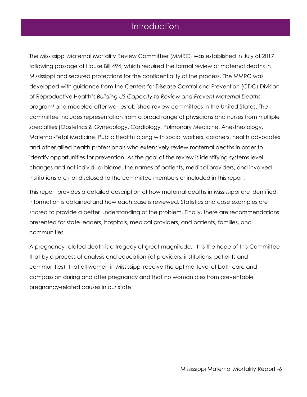### Introduction

E S

The Mississippi Maternal Mortality Review Committee (MMRC) was established in July of 2017 following passage of House Bill 494, which required the formal review of maternal deaths in Mississippi and secured protections for the confidentiality of the process. The MMRC was developed with guidance from the Centers for Disease Control and Prevention (CDC) Division of Reproductive Health's *Building US Capacity to Review and Prevent Maternal Deaths*  program<sup>1</sup> and modeled after well-established review committees in the United States. The committee includes representation from a broad range of physicians and nurses from multiple specialties (Obstetrics & Gynecology, Cardiology, Pulmonary Medicine, Anesthesiology, Maternal-Fetal Medicine, Public Health) along with social workers, coroners, health advocates and other allied health professionals who extensively review maternal deaths in order to identify opportunities for prevention. As the goal of the review is identifying systems level changes and not individual blame, the names of patients, medical providers, and involved institutions are not disclosed to the committee members or included in this report.

This report provides a detailed description of how maternal deaths in Mississippi are identified, information is obtained and how each case is reviewed. Statistics and case examples are shared to provide a better understanding of the problem. Finally, there are recommendations presented for state leaders, hospitals, medical providers, and patients, families, and communities.

A pregnancy-related death is a tragedy of great magnitude. It is the hope of this Committee that by a process of analysis and education (of providers, institutions, patients and communities), that all women in Mississippi receive the optimal level of both care and compassion during and after pregnancy and that no woman dies from preventable pregnancy-related causes in our state.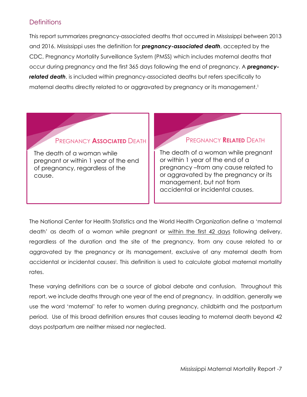#### <span id="page-6-0"></span>**Definitions**

This report summarizes pregnancy-associated deaths that occurred in Mississippi between 2013 and 2016. Mississippi uses the definition for *pregnancy-associated death*, accepted by the CDC, Pregnancy Mortality Surveillance System (PMSS) which includes maternal deaths that occur during pregnancy and the first 365 days following the end of pregnancy. A *pregnancyrelated death*, is included within pregnancy-associated deaths but refers specifically to maternal deaths directly related to or aggravated by pregnancy or its management.<sup>1</sup>

#### PREGNANCY **ASSOCIATED** DEATH

The death of a woman while pregnant or within 1 year of the end of pregnancy, regardless of the cause.

#### PREGNANCY **RELATED** DEATH

The death of a woman while pregnant or within 1 year of the end of a pregnancy –from any cause related to or aggravated by the pregnancy or its management, but not from accidental or incidental causes.

The National Center for Health Statistics and the World Health Organization define a 'maternal death' as death of a woman while pregnant or within the first 42 days following delivery, regardless of the duration and the site of the pregnancy, from any cause related to or aggravated by the pregnancy or its management, exclusive of any maternal death from accidental or incidental causes<sup>i</sup> . This definition is used to calculate global maternal mortality rates.

These varying definitions can be a source of global debate and confusion. Throughout this report, we include deaths through one year of the end of pregnancy. In addition, generally we use the word 'maternal' to refer to women during pregnancy, childbirth and the postpartum period. Use of this broad definition ensures that causes leading to maternal death beyond 42 days postpartum are neither missed nor neglected.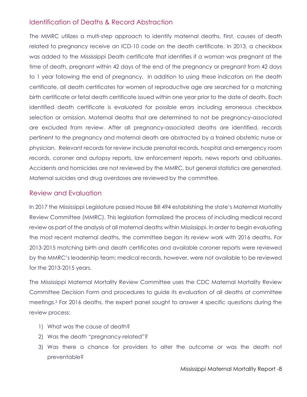#### <span id="page-7-0"></span>Identification of Deaths & Record Abstraction

The MMRC utilizes a multi-step approach to identify maternal deaths. First, causes of death related to pregnancy receive an ICD-10 code on the death certificate. In 2013, a checkbox was added to the Mississippi Death certificate that identifies if a woman was pregnant at the time of death, pregnant within 42 days of the end of the pregnancy or pregnant from 42 days to 1 year following the end of pregnancy. In addition to using these indicators on the death certificate, all death certificates for women of reproductive age are searched for a matching birth certificate or fetal death certificate issued within one year prior to the date of death. Each identified death certificate is evaluated for possible errors including erroneous checkbox selection or omission. Maternal deaths that are determined to not be pregnancy-associated are excluded from review. After all pregnancy-associated deaths are identified, records pertinent to the pregnancy and maternal death are abstracted by a trained obstetric nurse or physician. Relevant records for review include prenatal records, hospital and emergency room records, coroner and autopsy reports, law enforcement reports, news reports and obituaries. Accidents and homicides are not reviewed by the MMRC, but general statistics are generated. Maternal suicides and drug overdoses are reviewed by the committee.

#### <span id="page-7-1"></span>Review and Evaluation

In 2017 the Mississippi Legislature passed House Bill 494 establishing the state's Maternal Mortality Review Committee (MMRC). This legislation formalized the process of including medical record review as part of the analysis of all maternal deaths within Mississippi. In order to begin evaluating the most recent maternal deaths, the committee began its review work with 2016 deaths. For 2013-2015 matching birth and death certificates and available coroner reports were reviewed by the MMRC's leadership team; medical records, however, were not available to be reviewed for the 2013-2015 years.

The Mississippi Maternal Mortality Review Committee uses the CDC Maternal Mortality Review Committee Decision Form and procedures to guide its evaluation of all deaths at committee meetings. <sup>2</sup> For 2016 deaths, the expert panel sought to answer 4 specific questions during the review process:

- 1) What was the cause of death?
- 2) Was the death "pregnancy-related"?
- 3) Was there a chance for providers to alter the outcome or was the death not preventable?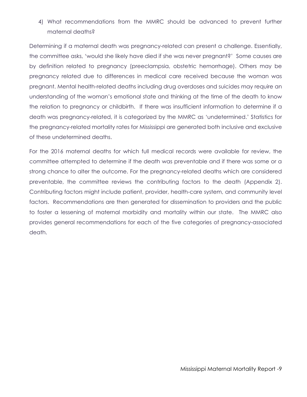4) What recommendations from the MMRC should be advanced to prevent further maternal deaths?

Determining if a maternal death was pregnancy-related can present a challenge. Essentially, the committee asks, 'would she likely have died if she was never pregnant?' Some causes are by definition related to pregnancy (preeclampsia, obstetric hemorrhage). Others may be pregnancy related due to differences in medical care received because the woman was pregnant. Mental health-related deaths including drug overdoses and suicides may require an understanding of the woman's emotional state and thinking at the time of the death to know the relation to pregnancy or childbirth. If there was insufficient information to determine if a death was pregnancy-related, it is categorized by the MMRC as 'undetermined.' Statistics for the pregnancy-related mortality rates for Mississippi are generated both inclusive and exclusive of these undetermined deaths.

For the 2016 maternal deaths for which full medical records were available for review, the committee attempted to determine if the death was preventable and if there was some or a strong chance to alter the outcome. For the pregnancy-related deaths which are considered preventable, the committee reviews the contributing factors to the death (Appendix 2). Contributing factors might include patient, provider, health-care system, and community level factors. Recommendations are then generated for dissemination to providers and the public to foster a lessening of maternal morbidity and mortality within our state. The MMRC also provides general recommendations for each of the five categories of pregnancy-associated death.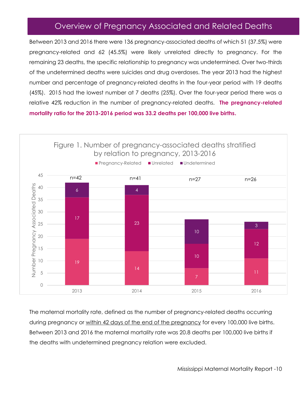# Overview of Pregnancy Associated and Related Deaths

Between 2013 and 2016 there were 136 pregnancy-associated deaths of which 51 (37.5%) were pregnancy-related and 62 (45.5%) were likely unrelated directly to pregnancy. For the remaining 23 deaths, the specific relationship to pregnancy was undetermined. Over two-thirds of the undetermined deaths were suicides and drug overdoses. The year 2013 had the highest number and percentage of pregnancy-related deaths in the four-year period with 19 deaths (45%). 2015 had the lowest number at 7 deaths (25%). Over the four-year period there was a relative 42% reduction in the number of pregnancy-related deaths. **The pregnancy-related mortality ratio for the 2013-2016 period was 33.2 deaths per 100,000 live births.**



The maternal mortality rate, defined as the number of pregnancy-related deaths occurring during pregnancy or within 42 days of the end of the pregnancy for every 100,000 live births. Between 2013 and 2016 the maternal mortality rate was 20.8 deaths per 100,000 live births if the deaths with undetermined pregnancy relation were excluded.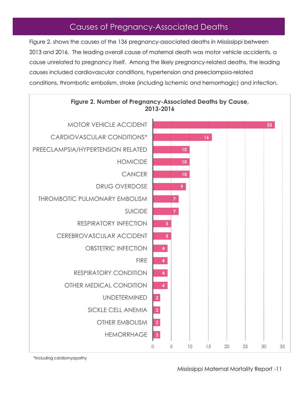# Causes of Pregnancy-Associated Deaths

Figure 2. shows the causes of the 136 pregnancy-associated deaths in Mississippi between 2013 and 2016. The leading overall cause of maternal death was motor vehicle accidents, a cause unrelated to pregnancy itself. Among the likely pregnancy-related deaths, the leading causes included cardiovascular conditions, hypertension and preeclampsia-related conditions, thrombotic embolism, stroke (including ischemic and hemorrhagic) and infection.



**Figure 2. Number of Pregnancy-Associated Deaths by Cause,** 

\*Including cardiomyopathy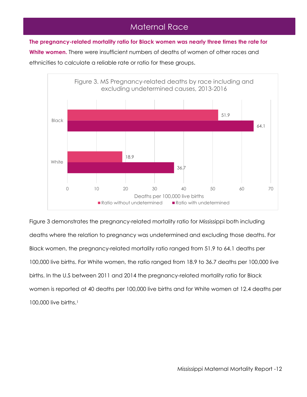# Maternal Race

**The pregnancy-related mortality ratio for Black women was nearly three times the rate for**

**White women.** There were insufficient numbers of deaths of women of other races and ethnicities to calculate a reliable rate or ratio for these groups.



Figure 3 demonstrates the pregnancy-related mortality ratio for Mississippi both including deaths where the relation to pregnancy was undetermined and excluding those deaths. For Black women, the pregnancy-related mortality ratio ranged from 51.9 to 64.1 deaths per 100,000 live births. For White women, the ratio ranged from 18.9 to 36.7 deaths per 100,000 live births. In the U.S between 2011 and 2014 the pregnancy-related mortality ratio for Black women is reported at 40 deaths per 100,000 live births and for White women at 12.4 deaths per 100,000 live births.<sup>1</sup>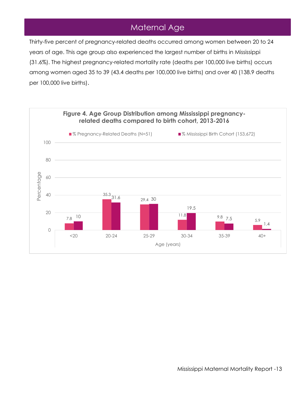# Maternal Age

Thirty-five percent of pregnancy-related deaths occurred among women between 20 to 24 years of age. This age group also experienced the largest number of births in Mississippi (31.6%). The highest pregnancy-related mortality rate (deaths per 100,000 live births) occurs among women aged 35 to 39 (43.4 deaths per 100,000 live births) and over 40 (138.9 deaths per 100,000 live births).

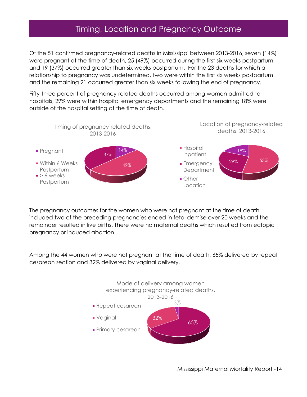### Timing, Location and Pregnancy Outcome

Of the 51 confirmed pregnancy-related deaths in Mississippi between 2013-2016, seven (14%) were pregnant at the time of death, 25 (49%) occurred during the first six weeks postpartum and 19 (37%) occurred greater than six weeks postpartum. For the 23 deaths for which a relationship to pregnancy was undetermined, two were within the first six weeks postpartum and the remaining 21 occurred greater than six weeks following the end of pregnancy.

Fifty-three percent of pregnancy-related deaths occurred among women admitted to hospitals, 29% were within hospital emergency departments and the remaining 18% were outside of the hospital setting at the time of death.



The pregnancy outcomes for the women who were not pregnant at the time of death included two of the preceding pregnancies ended in fetal demise over 20 weeks and the remainder resulted in live births. There were no maternal deaths which resulted from ectopic pregnancy or induced abortion.

Among the 44 women who were not pregnant at the time of death, 65% delivered by repeat cesarean section and 32% delivered by vaginal delivery.

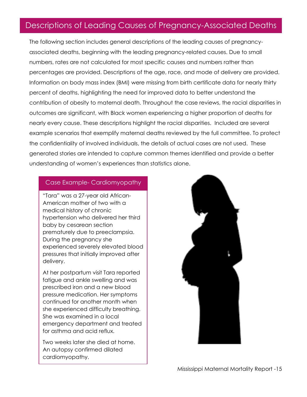### Descriptions of Leading Causes of Pregnancy-Associated Deaths Cause-Specific Descriptions of Pregnancy Associated Deaths

The following section includes general descriptions of the leading causes of pregnancyassociated deaths, beginning with the leading pregnancy-related causes. Due to small numbers, rates are not calculated for most specific causes and numbers rather than percentages are provided. Descriptions of the age, race, and mode of delivery are provided. Information on body mass index (BMI) were missing from birth certificate data for nearly thirty percent of deaths, highlighting the need for improved data to better understand the contribution of obesity to maternal death. Throughout the case reviews, the racial disparities in outcomes are significant, with Black women experiencing a higher proportion of deaths for nearly every cause. These descriptions highlight the racial disparities. Included are several example scenarios that exemplify maternal deaths reviewed by the full committee. To protect the confidentiality of involved individuals, the details of actual cases are not used. These generated stories are intended to capture common themes identified and provide a better understanding of women's experiences than statistics alone.

#### Case Example- Cardiomyopathy

"Tara" was a 27-year old African-American mother of two with a medical history of chronic hypertension who delivered her third baby by cesarean section prematurely due to preeclampsia. During the pregnancy she experienced severely elevated blood pressures that initially improved after delivery.

At her postpartum visit Tara reported fatigue and ankle swelling and was prescribed iron and a new blood pressure medication. Her symptoms continued for another month when she experienced difficulty breathing. She was examined in a local emergency department and treated for asthma and acid reflux.

Two weeks later she died at home. An autopsy confirmed dilated cardiomyopathy.

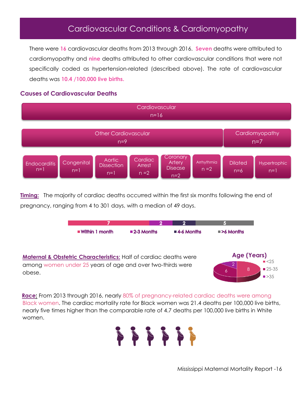### Cardiovascular Conditions & Cardiomyopathy

There were **16** cardiovascular deaths from 2013 through 2016. **Seven** deaths were attributed to cardiomyopathy and **nine** deaths attributed to other cardiovascular conditions that were not specifically coded as hypertension-related (described above). The rate of cardiovascular deaths was **10.4 /100,000 live births.**

#### **Causes of Cardiovascular Deaths**



**Timing:** The majority of cardiac deaths occurred within the first six months following the end of pregnancy, ranging from 4 to 301 days, with a median of 49 days.



**Maternal & Obstetric Characteristics:** Half of cardiac deaths were among women under 25 years of age and over two-thirds were obese. 2

 $6 \begin{array}{|c|c|} 8 \end{array}$ **Age (Years)**  $\blacktriangleright$  <25 ■ 25-35  $\blacktriangleright$  35

**Race:** From 2013 through 2016, nearly 80% of pregnancy-related cardiac deaths were among Black women. The cardiac mortality rate for Black women was 21.4 deaths per 100,000 live births, nearly five times higher than the comparable rate of 4.7 deaths per 100,000 live births in White women.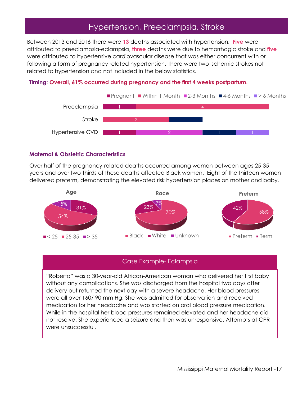### Hypertension, Preeclampsia, Stroke

Between 2013 and 2016 there were **13** deaths associated with hypertension. **Five** were attributed to preeclampsia-eclampsia, **three** deaths were due to hemorrhagic stroke and **five** were attributed to hypertensive cardiovascular disease that was either concurrent with or following a form of pregnancy related hypertension. There were two ischemic strokes not related to hypertension and not included in the below statistics.

#### **Timing: Overall, 61% occurred during pregnancy and the first 4 weeks postpartum.**



#### **Maternal & Obstetric Characteristics**

Over half of the pregnancy-related deaths occurred among women between ages 25-35 years and over two-thirds of these deaths affected Black women. Eight of the thirteen women delivered preterm, demonstrating the elevated risk hypertension places on mother and baby.



#### Case Example- Eclampsia

"Roberta" was a 30-year-old African-American woman who delivered her first baby without any complications. She was discharged from the hospital two days after delivery but returned the next day with a severe headache. Her blood pressures were all over 160/ 90 mm Hg. She was admitted for observation and received medication for her headache and was started on oral blood pressure medication. While in the hospital her blood pressures remained elevated and her headache did not resolve. She experienced a seizure and then was unresponsive. Attempts at CPR were unsuccessful.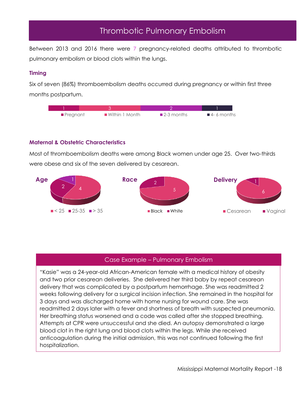# Thrombotic Pulmonary Embolism

Between 2013 and 2016 there were **7** pregnancy-related deaths attributed to thrombotic pulmonary embolism or blood clots within the lungs.

#### **Timing**

Six of seven (86%) thromboembolism deaths occurred during pregnancy or within first three months postpartum.



#### **Maternal & Obstetric Characteristics**

Most of thromboembolism deaths were among Black women under age 25. Over two-thirds were obese and six of the seven delivered by cesarean.



#### Case Example – Pulmonary Embolism

"Kasie" was a 24-year-old African-American female with a medical history of obesity and two prior cesarean deliveries. She delivered her third baby by repeat cesarean delivery that was complicated by a postpartum hemorrhage. She was readmitted 2 weeks following delivery for a surgical incision infection. She remained in the hospital for 3 days and was discharged home with home nursing for wound care. She was readmitted 2 days later with a fever and shortness of breath with suspected pneumonia. Her breathing status worsened and a code was called after she stopped breathing. Attempts at CPR were unsuccessful and she died. An autopsy demonstrated a large blood clot in the right lung and blood clots within the legs. While she received anticoagulation during the initial admission, this was not continued following the first hospitalization.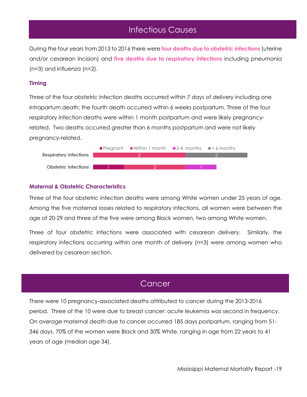### Infectious Causes

During the four years from 2013 to 2016 there were **four deaths due to obstetric infections** (uterine and/or cesarean incision) and **five deaths due to respiratory infections** including pneumonia (n=3) and influenza (n=2).

#### **Timing**

Three of the four obstetric infection deaths occurred within 7 days of delivery including one intrapartum death; the fourth death occurred within 6 weeks postpartum. Three of the four respiratory infection deaths were within 1 month postpartum and were likely pregnancyrelated. Two deaths occurred greater than 6 months postpartum and were not likely pregnancy-related.



#### **Maternal & Obstetric Characteristics**

Three of the four obstetric infection deaths were among White women under 25 years of age. Among the five maternal losses related to respiratory infections, all women were between the age of 20-29 and three of the five were among Black women, two among White women.

Three of four obstetric infections were associated with cesarean delivery. Similarly, the respiratory infections occurring within one month of delivery (n=3) were among women who delivered by cesarean section.

### **Cancer**

There were 10 pregnancy-associated deaths attributed to cancer during the 2013-2016 period. Three of the 10 were due to breast cancer; acute leukemia was second in frequency. On average maternal death due to cancer occurred 185 days postpartum, ranging from 51- 346 days. 70% of the women were Black and 30% White, ranging in age from 22 years to 41 years of age (median age 34).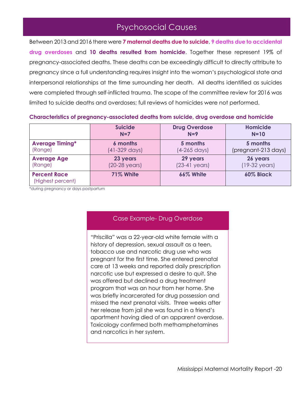# Psychosocial Causes

Between 2013 and 2016 there were **7 maternal deaths due to suicide**, **9 deaths due to accidental drug overdoses** and **10 deaths resulted from homicide**. Together these represent 19% of pregnancy-associated deaths. These deaths can be exceedingly difficult to directly attribute to pregnancy since a full understanding requires insight into the woman's psychological state and interpersonal relationships at the time surrounding her death. All deaths identified as suicides were completed through self-inflicted trauma. The scope of the committee review for 2016 was limited to suicide deaths and overdoses; full reviews of homicides were not performed.

|                                          | <b>Suicide</b>          | <b>Drug Overdose</b>    | <b>Homicide</b>         |
|------------------------------------------|-------------------------|-------------------------|-------------------------|
|                                          | $N=7$                   | $N=9$                   | $N=10$                  |
| <b>Average Timing*</b>                   | 6 months                | 5 months                | 5 months                |
| (Range)                                  | (41-329 days)           | $(4-265 \text{ days})$  | (pregnant-213 days)     |
| <b>Average Age</b>                       | 23 years                | 29 years                | 26 years                |
| (Range)                                  | $(20-28 \text{ years})$ | $(23-41 \text{ years})$ | $(19-32 \text{ years})$ |
| <b>Percent Race</b><br>(Highest percent) | 71% White               | 66% White               | <b>60% Black</b>        |

#### **Characteristics of pregnancy-associated deaths from suicide, drug overdose and homicide**

\*during pregnancy or days postpartum

#### Case Example- Drug Overdose

"Priscilla" was a 22-year-old white female with a history of depression, sexual assault as a teen, tobacco use and narcotic drug use who was pregnant for the first time. She entered prenatal care at 13 weeks and reported daily prescription narcotic use but expressed a desire to quit. She was offered but declined a drug treatment program that was an hour from her home. She was briefly incarcerated for drug possession and missed the next prenatal visits. Three weeks after her release from jail she was found in a friend's apartment having died of an apparent overdose. Toxicology confirmed both methamphetamines and narcotics in her system.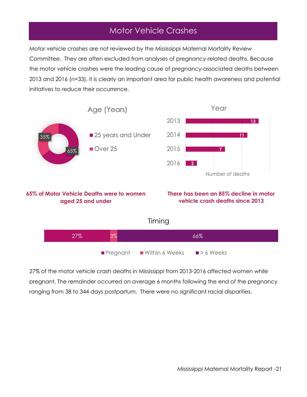# Motor Vehicle Crashes

Motor vehicle crashes are not reviewed by the Mississippi Maternal Mortality Review Committee. They are often excluded from analyses of pregnancy-related deaths. Because the motor vehicle crashes were the leading cause of pregnancy-associated deaths between 2013 and 2016 (n=33), it is clearly an important area for public health awareness and potential initiatives to reduce their occurrence.



27% of the motor vehicle crash deaths in Mississippi from 2013-2016 affected women while pregnant. The remainder occurred on average 6 months following the end of the pregnancy ranging from 38 to 344 days postpartum. There were no significant racial disparities.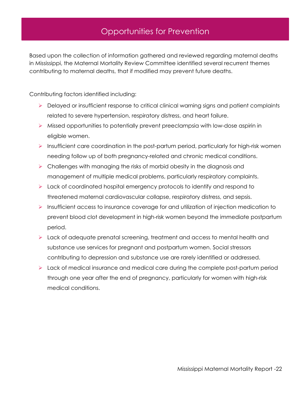# Opportunities for Prevention

Based upon the collection of information gathered and reviewed regarding maternal deaths in Mississippi, the Maternal Mortality Review Committee identified several recurrent themes contributing to maternal deaths, that if modified may prevent future deaths.

Contributing factors identified including:

- ➢ Delayed or insufficient response to critical clinical warning signs and patient complaints related to severe hypertension, respiratory distress, and heart failure.
- $\triangleright$  Missed opportunities to potentially prevent preeclampsia with low-dose aspirin in eligible women.
- ➢ Insufficient care coordination in the post-partum period, particularly for high-risk women needing follow up of both pregnancy-related and chronic medical conditions.
- ➢ Challenges with managing the risks of morbid obesity in the diagnosis and management of multiple medical problems, particularly respiratory complaints.
- ➢ Lack of coordinated hospital emergency protocols to identify and respond to threatened maternal cardiovascular collapse, respiratory distress, and sepsis.
- ➢ Insufficient access to insurance coverage for and utilization of injection medication to prevent blood clot development in high-risk women beyond the immediate postpartum period.
- ➢ Lack of adequate prenatal screening, treatment and access to mental health and substance use services for pregnant and postpartum women. Social stressors contributing to depression and substance use are rarely identified or addressed.
- ➢ Lack of medical insurance and medical care during the complete post-partum period through one year after the end of pregnancy, particularly for women with high-risk medical conditions.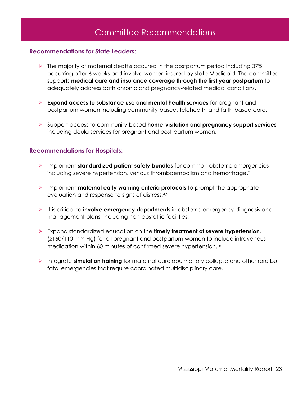# Committee Recommendations

#### <span id="page-22-0"></span>**Recommendations for State Leaders**:

- ➢ The majority of maternal deaths occured in the postpartum period including 37% occurring after 6 weeks and involve women insured by state Medicaid. The committee supports **medical care and insurance coverage through the first year postpartum** to adequately address both chronic and pregnancy-related medical conditions.
- ➢ **Expand access to substance use and mental health services** for pregnant and postpartum women including community-based, telehealth and faith-based care.
- ➢ Support access to community-based **home-visitation and pregnancy support services** including doula services for pregnant and post-partum women.

#### <span id="page-22-1"></span>**Recommendations for Hospitals:**

- ➢ Implement **standardized patient safety bundles** for common obstetric emergencies including severe hypertension, venous thromboembolism and hemorrhage. 3
- ➢ Implement **maternal early warning criteria protocols** to prompt the appropriate evaluation and response to signs of distress.4,5
- ➢ It is critical to **involve emergency departments** in obstetric emergency diagnosis and management plans, including non-obstetric facilities.
- ➢ Expand standardized education on the **timely treatment of severe hypertension,** (≥160/110 mm Hg) for all pregnant and postpartum women to include intravenous medication within 60 minutes of confirmed severe hypertension. <sup>6</sup>
- ➢ Integrate **simulation training** for maternal cardiopulmonary collapse and other rare but fatal emergencies that require coordinated multidisciplinary care.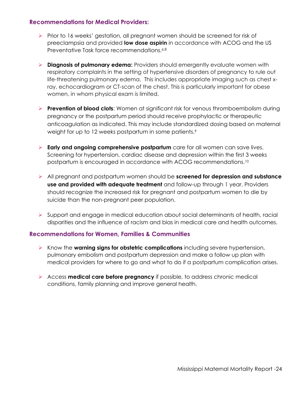#### <span id="page-23-0"></span>**Recommendations for Medical Providers:**

- ➢ Prior to 16 weeks' gestation, all pregnant women should be screened for risk of preeclampsia and provided **low dose aspirin** in accordance with ACOG and the US Preventative Task force recommendations. 6,8
- ➢ **Diagnosis of pulmonary edema:** Providers should emergently evaluate women with respiratory complaints in the setting of hypertensive disorders of pregnancy to rule out life-threatening pulmonary edema. This includes appropriate imaging such as chest xray, echocardiogram or CT-scan of the chest. This is particularly important for obese women, in whom physical exam is limited.
- ➢ **Prevention of blood clots**: Women at significant risk for venous thromboembolism during pregnancy or the postpartum period should receive prophylactic or therapeutic anticoagulation as indicated. This may include standardized dosing based on maternal weight for up to 12 weeks postpartum in some patients. 9
- ➢ **Early and ongoing comprehensive postpartum** care for all women can save lives. Screening for hypertension, cardiac disease and depression within the first 3 weeks postpartum is encouraged in accordance with ACOG recommendations.<sup>10</sup>
- ➢ All pregnant and postpartum women should be **screened for depression and substance use and provided with adequate treatment** and follow-up through 1 year. Providers should recognize the increased risk for pregnant and postpartum women to die by suicide than the non-pregnant peer population.
- ➢ Support and engage in medical education about social determinants of health, racial disparities and the influence of racism and bias in medical care and health outcomes.

#### <span id="page-23-1"></span>**Recommendations for Women, Families & Communities**

- ➢ Know the **warning signs for obstetric complications** including severe hypertension, pulmonary embolism and postpartum depression and make a follow up plan with medical providers for where to go and what to do if a postpartum complication arises.
- ➢ Access **medical care before pregnancy** if possible, to address chronic medical conditions, family planning and improve general health.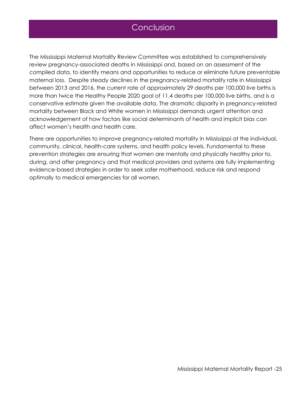### Conclusion

The Mississippi Maternal Mortality Review Committee was established to comprehensively review pregnancy-associated deaths in Mississippi and, based on an assessment of the compiled data, to identify means and opportunities to reduce or eliminate future preventable maternal loss. Despite steady declines in the pregnancy-related mortality rate in Mississippi between 2013 and 2016, the current rate of approximately 29 deaths per 100,000 live births is more than twice the Healthy People 2020 goal of 11.4 deaths per 100,000 live births, and is a conservative estimate given the available data. The dramatic disparity in pregnancy-related mortality between Black and White women in Mississippi demands urgent attention and acknowledgement of how factors like social determinants of health and implicit bias can affect women's health and health care.

There are opportunities to improve pregnancy-related mortality in Mississippi at the individual, community, clinical, health-care systems, and health policy levels. Fundamental to these prevention strategies are ensuring that women are mentally and physically healthy prior to, during, and after pregnancy and that medical providers and systems are fully implementing evidence-based strategies in order to seek safer motherhood, reduce risk and respond optimally to medical emergencies for all women.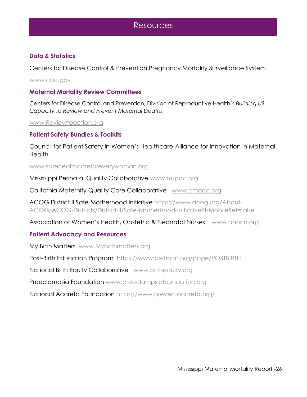### Resources

#### **Data & Statistics**

Centers for Disease Control & Prevention Pregnancy Mortality Surveillance System

[www.cdc.gov](http://www.cdc.gov/)

#### **Maternal Mortality Review Committees**

Centers for Disease Control and Prevention, Division of Reproductive Health's *Building US Capacity to Review and Prevent Maternal Deaths*

[www.Reviewtoaction.org](http://www.reviewtoaction.org/)

#### **Patient Safety Bundles & Toolkits**

Council for Patient Safety in Women's Healthcare-Alliance for Innovation in Maternal **Health** 

#### [www.safehealthcareforeverywoman](http://www.safehealthcareforeverywoman.org/).org

Mississippi Perinatal Quality Collaborative [www.mspqc.org](http://www.mspqc.org/)

California Maternity Quality Care Collaborative [www.cmqcc.org](http://www.cmqcc.org/)

ACOG District II Safe Motherhood Initiative [https://www.acog.org/About-](https://www.acog.org/About-ACOG/ACOG-Districts/District-II/Safe-Motherhood-Initiative?IsMobileSet=false)[ACOG/ACOG-Districts/District-II/Safe-Motherhood-Initiative?IsMobileSet=false](https://www.acog.org/About-ACOG/ACOG-Districts/District-II/Safe-Motherhood-Initiative?IsMobileSet=false)

Association of Women's Health, Obstetric & Neonatal Nurses [www.ahonn.org](http://www.ahonn.org/)

#### **Patient Advocacy and Resources**

My Birth Matters [www.Mybirthmatters.org](http://www.mybirthmatters.org/)

Post-Birth Education Program <https://www.awhonn.org/page/POSTBIRTH>

National Birth Equity Collaborative [www.birthequity.org](http://www.birthequity.org/)

Preeclampsia Foundation [www.preeclampsiafoundation.org](http://www.preeclampsiafoundation.org/)

National Accreta Foundation<https://www.preventaccreta.org/>